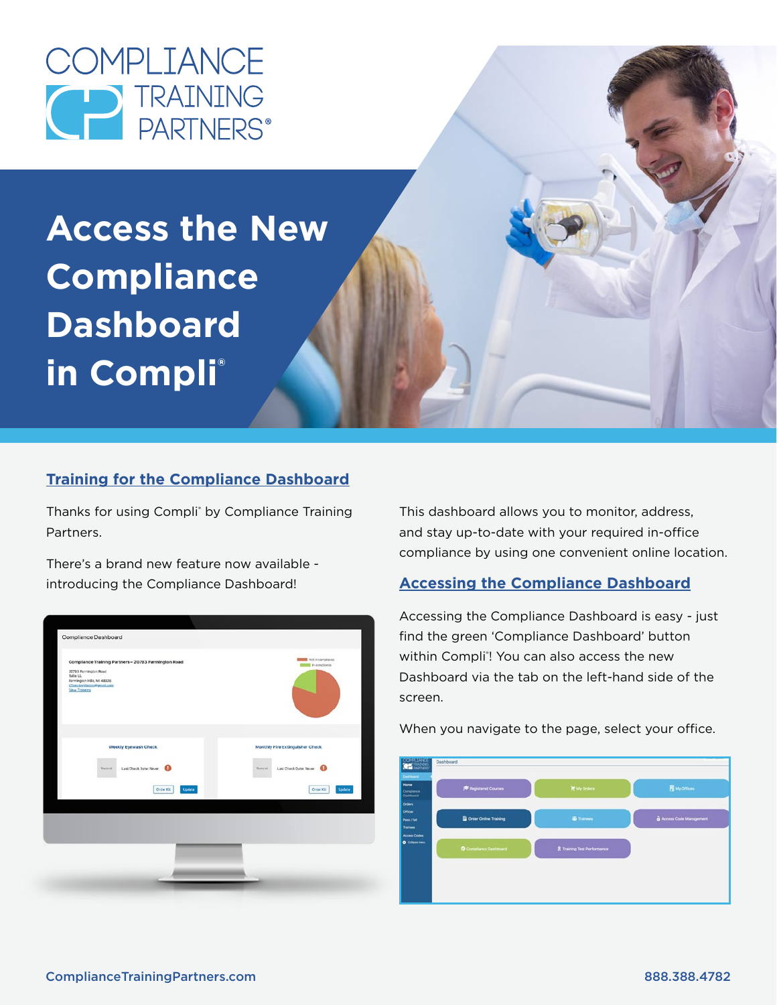

**Access the New Compliance Dashboard in Compli®**

# **Training for the Compliance Dashboard**

Thanks for using Compli<sup>®</sup> by Compliance Training Partners.

There's a brand new feature now available introducing the Compliance Dashboard!



This dashboard allows you to monitor, address, and stay up-to-date with your required in-office compliance by using one convenient online location.

# **Accessing the Compliance Dashboard**

Accessing the Compliance Dashboard is easy - just find the green 'Compliance Dashboard' button within Compli<sup>®</sup>! You can also access the new Dashboard via the tab on the left-hand side of the screen.

When you navigate to the page, select your office.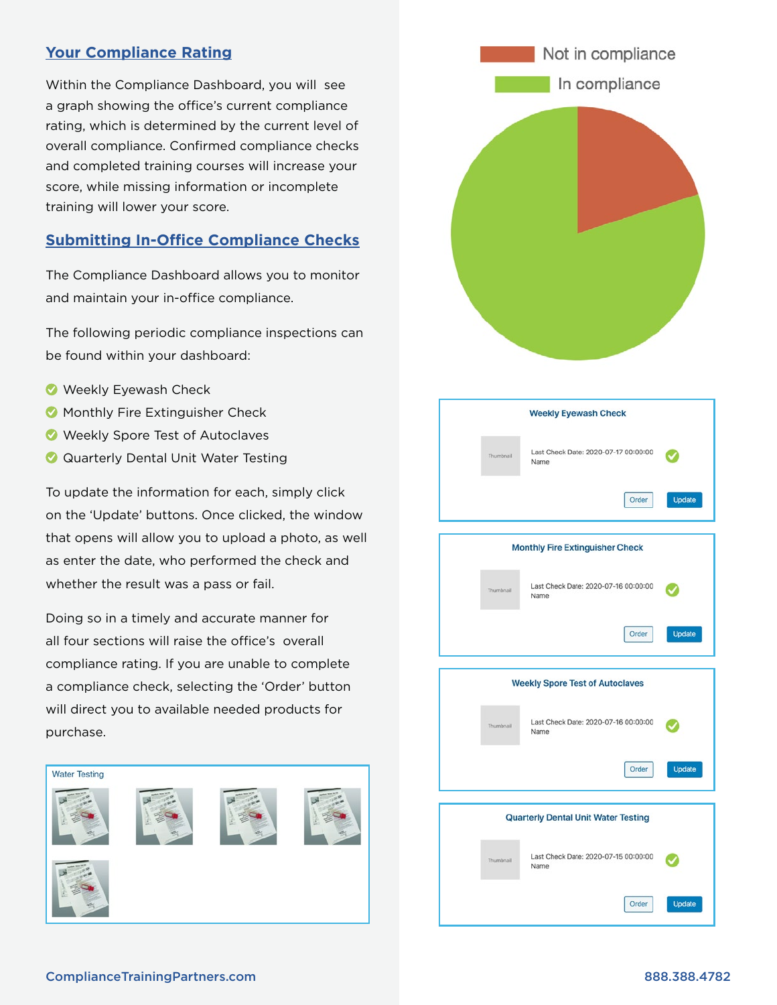## **Your Compliance Rating**

Within the Compliance Dashboard, you will see a graph showing the office's current compliance rating, which is determined by the current level of overall compliance. Confirmed compliance checks and completed training courses will increase your score, while missing information or incomplete training will lower your score.

## **Submitting In-Office Compliance Checks**

The Compliance Dashboard allows you to monitor and maintain your in-office compliance.

The following periodic compliance inspections can be found within your dashboard:

- Weekly Eyewash Check
- **Monthly Fire Extinguisher Check**
- Weekly Spore Test of Autoclaves
- **Q** Quarterly Dental Unit Water Testing

To update the information for each, simply click on the 'Update' buttons. Once clicked, the window that opens will allow you to upload a photo, as well as enter the date, who performed the check and whether the result was a pass or fail.

Doing so in a timely and accurate manner for all four sections will raise the office's overall compliance rating. If you are unable to complete a compliance check, selecting the 'Order' button will direct you to available needed products for purchase.





| <b>Weekly Eyewash Check</b>            |                                              |               |
|----------------------------------------|----------------------------------------------|---------------|
| Thumbnail                              | Last Check Date: 2020-07-17 00:00:00<br>Name |               |
|                                        | Order                                        | <b>Update</b> |
|                                        |                                              |               |
| <b>Monthly Fire Extinguisher Check</b> |                                              |               |
| Thumbnail                              | Last Check Date: 2020-07-16 00:00:00<br>Name |               |
|                                        | Order                                        | <b>Update</b> |
|                                        |                                              |               |
| <b>Weekly Spore Test of Autoclaves</b> |                                              |               |
| Thumbnail                              | Last Check Date: 2020-07-16 00:00:00<br>Name |               |
|                                        | Order                                        | <b>Update</b> |